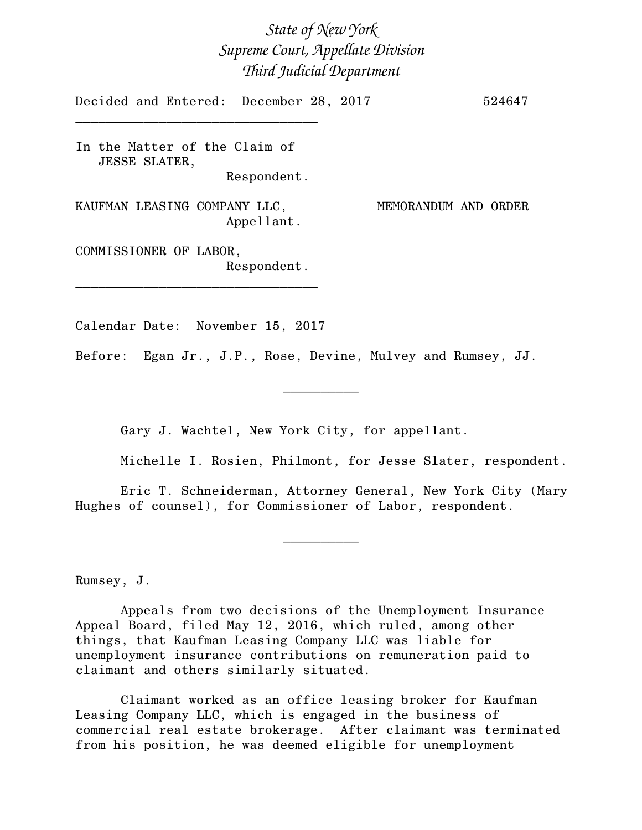*State of New York Supreme Court, Appellate Division Third Judicial Department*

Decided and Entered: December 28, 2017 524647

In the Matter of the Claim of JESSE SLATER, Respondent.

\_\_\_\_\_\_\_\_\_\_\_\_\_\_\_\_\_\_\_\_\_\_\_\_\_\_\_\_\_\_\_\_

KAUFMAN LEASING COMPANY LLC, MEMORANDUM AND ORDER Appellant.

COMMISSIONER OF LABOR, Respondent.

\_\_\_\_\_\_\_\_\_\_\_\_\_\_\_\_\_\_\_\_\_\_\_\_\_\_\_\_\_\_\_\_

Calendar Date: November 15, 2017

Before: Egan Jr., J.P., Rose, Devine, Mulvey and Rumsey, JJ.

Gary J. Wachtel, New York City, for appellant.

Michelle I. Rosien, Philmont, for Jesse Slater, respondent.

Eric T. Schneiderman, Attorney General, New York City (Mary Hughes of counsel), for Commissioner of Labor, respondent.

 $\frac{1}{2}$ 

 $\overline{\phantom{a}}$   $\overline{\phantom{a}}$   $\overline{\phantom{a}}$   $\overline{\phantom{a}}$   $\overline{\phantom{a}}$   $\overline{\phantom{a}}$   $\overline{\phantom{a}}$   $\overline{\phantom{a}}$   $\overline{\phantom{a}}$   $\overline{\phantom{a}}$   $\overline{\phantom{a}}$   $\overline{\phantom{a}}$   $\overline{\phantom{a}}$   $\overline{\phantom{a}}$   $\overline{\phantom{a}}$   $\overline{\phantom{a}}$   $\overline{\phantom{a}}$   $\overline{\phantom{a}}$   $\overline{\$ 

Rumsey, J.

Appeals from two decisions of the Unemployment Insurance Appeal Board, filed May 12, 2016, which ruled, among other things, that Kaufman Leasing Company LLC was liable for unemployment insurance contributions on remuneration paid to claimant and others similarly situated.

Claimant worked as an office leasing broker for Kaufman Leasing Company LLC, which is engaged in the business of commercial real estate brokerage. After claimant was terminated from his position, he was deemed eligible for unemployment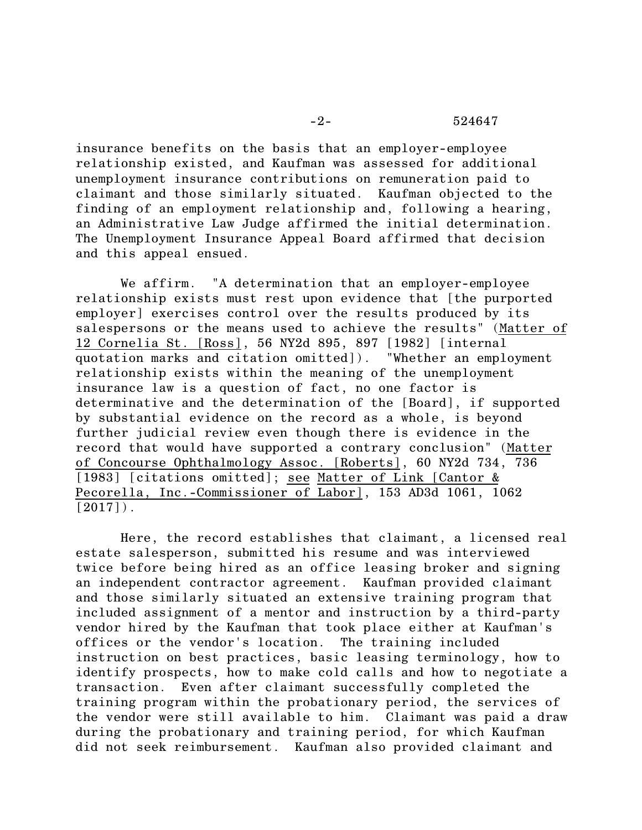insurance benefits on the basis that an employer-employee relationship existed, and Kaufman was assessed for additional unemployment insurance contributions on remuneration paid to claimant and those similarly situated. Kaufman objected to the finding of an employment relationship and, following a hearing, an Administrative Law Judge affirmed the initial determination. The Unemployment Insurance Appeal Board affirmed that decision and this appeal ensued.

We affirm. "A determination that an employer-employee relationship exists must rest upon evidence that [the purported employer] exercises control over the results produced by its salespersons or the means used to achieve the results" (Matter of 12 Cornelia St. [Ross], 56 NY2d 895, 897 [1982] [internal quotation marks and citation omitted]). "Whether an employment relationship exists within the meaning of the unemployment insurance law is a question of fact, no one factor is determinative and the determination of the [Board], if supported by substantial evidence on the record as a whole, is beyond further judicial review even though there is evidence in the record that would have supported a contrary conclusion" (Matter of Concourse Ophthalmology Assoc. [Roberts], 60 NY2d 734, 736 [1983] [citations omitted]; see Matter of Link [Cantor & Pecorella, Inc.-Commissioner of Labor], 153 AD3d 1061, 1062  $[2017]$ .

Here, the record establishes that claimant, a licensed real estate salesperson, submitted his resume and was interviewed twice before being hired as an office leasing broker and signing an independent contractor agreement. Kaufman provided claimant and those similarly situated an extensive training program that included assignment of a mentor and instruction by a third-party vendor hired by the Kaufman that took place either at Kaufman's offices or the vendor's location. The training included instruction on best practices, basic leasing terminology, how to identify prospects, how to make cold calls and how to negotiate a transaction. Even after claimant successfully completed the training program within the probationary period, the services of the vendor were still available to him. Claimant was paid a draw during the probationary and training period, for which Kaufman did not seek reimbursement. Kaufman also provided claimant and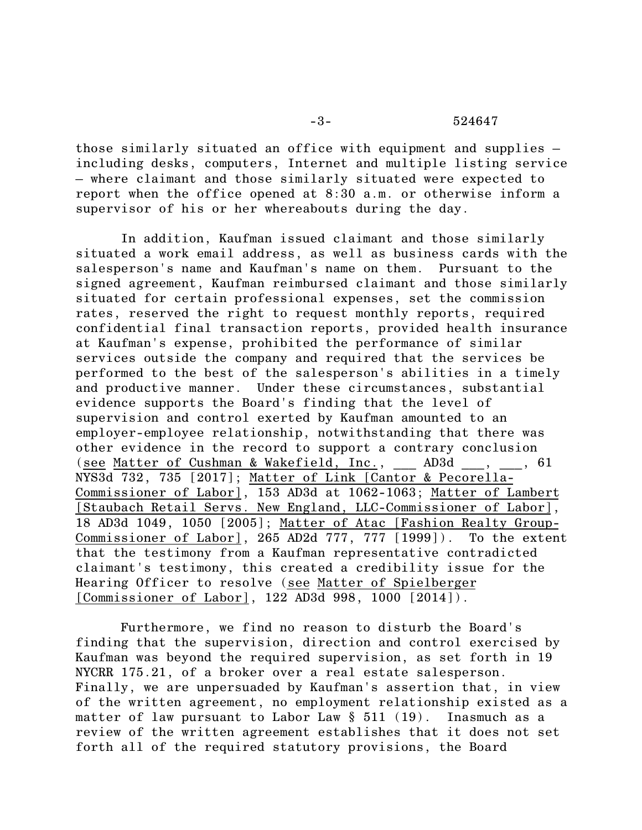## -3- 524647

those similarly situated an office with equipment and supplies – including desks, computers, Internet and multiple listing service – where claimant and those similarly situated were expected to report when the office opened at 8:30 a.m. or otherwise inform a supervisor of his or her whereabouts during the day.

In addition, Kaufman issued claimant and those similarly situated a work email address, as well as business cards with the salesperson's name and Kaufman's name on them. Pursuant to the signed agreement, Kaufman reimbursed claimant and those similarly situated for certain professional expenses, set the commission rates, reserved the right to request monthly reports, required confidential final transaction reports, provided health insurance at Kaufman's expense, prohibited the performance of similar services outside the company and required that the services be performed to the best of the salesperson's abilities in a timely and productive manner. Under these circumstances, substantial evidence supports the Board's finding that the level of supervision and control exerted by Kaufman amounted to an employer-employee relationship, notwithstanding that there was other evidence in the record to support a contrary conclusion (see Matter of Cushman & Wakefield, Inc., AD3d , , 61 NYS3d 732, 735 [2017]; Matter of Link [Cantor & Pecorella-Commissioner of Labor], 153 AD3d at 1062-1063; Matter of Lambert [Staubach Retail Servs. New England, LLC-Commissioner of Labor], 18 AD3d 1049, 1050 [2005]; Matter of Atac [Fashion Realty Group-Commissioner of Labor], 265 AD2d 777, 777 [1999]). To the extent that the testimony from a Kaufman representative contradicted claimant's testimony, this created a credibility issue for the Hearing Officer to resolve (see Matter of Spielberger [Commissioner of Labor], 122 AD3d 998, 1000 [2014]).

Furthermore, we find no reason to disturb the Board's finding that the supervision, direction and control exercised by Kaufman was beyond the required supervision, as set forth in 19 NYCRR 175.21, of a broker over a real estate salesperson. Finally, we are unpersuaded by Kaufman's assertion that, in view of the written agreement, no employment relationship existed as a matter of law pursuant to Labor Law § 511 (19). Inasmuch as a review of the written agreement establishes that it does not set forth all of the required statutory provisions, the Board